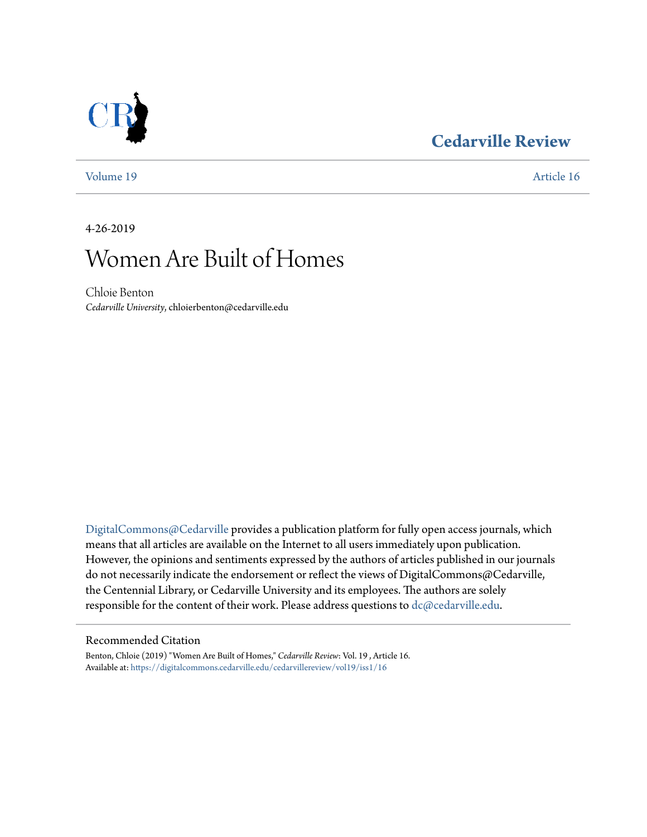### **[Cedarville Review](https://digitalcommons.cedarville.edu/cedarvillereview?utm_source=digitalcommons.cedarville.edu%2Fcedarvillereview%2Fvol19%2Fiss1%2F16&utm_medium=PDF&utm_campaign=PDFCoverPages)**



[Volume 19](https://digitalcommons.cedarville.edu/cedarvillereview/vol19?utm_source=digitalcommons.cedarville.edu%2Fcedarvillereview%2Fvol19%2Fiss1%2F16&utm_medium=PDF&utm_campaign=PDFCoverPages) [Article 16](https://digitalcommons.cedarville.edu/cedarvillereview/vol19/iss1/16?utm_source=digitalcommons.cedarville.edu%2Fcedarvillereview%2Fvol19%2Fiss1%2F16&utm_medium=PDF&utm_campaign=PDFCoverPages)

4-26-2019

# Women Are Built of Homes

Chloie Benton *Cedarville University*, chloierbenton@cedarville.edu

[DigitalCommons@Cedarville](http://digitalcommons.cedarville.edu/) provides a publication platform for fully open access journals, which means that all articles are available on the Internet to all users immediately upon publication. However, the opinions and sentiments expressed by the authors of articles published in our journals do not necessarily indicate the endorsement or reflect the views of DigitalCommons@Cedarville, the Centennial Library, or Cedarville University and its employees. The authors are solely responsible for the content of their work. Please address questions to [dc@cedarville.edu](mailto:dc@cedarville.edu).

#### Recommended Citation

Benton, Chloie (2019) "Women Are Built of Homes," *Cedarville Review*: Vol. 19 , Article 16. Available at: [https://digitalcommons.cedarville.edu/cedarvillereview/vol19/iss1/16](https://digitalcommons.cedarville.edu/cedarvillereview/vol19/iss1/16?utm_source=digitalcommons.cedarville.edu%2Fcedarvillereview%2Fvol19%2Fiss1%2F16&utm_medium=PDF&utm_campaign=PDFCoverPages)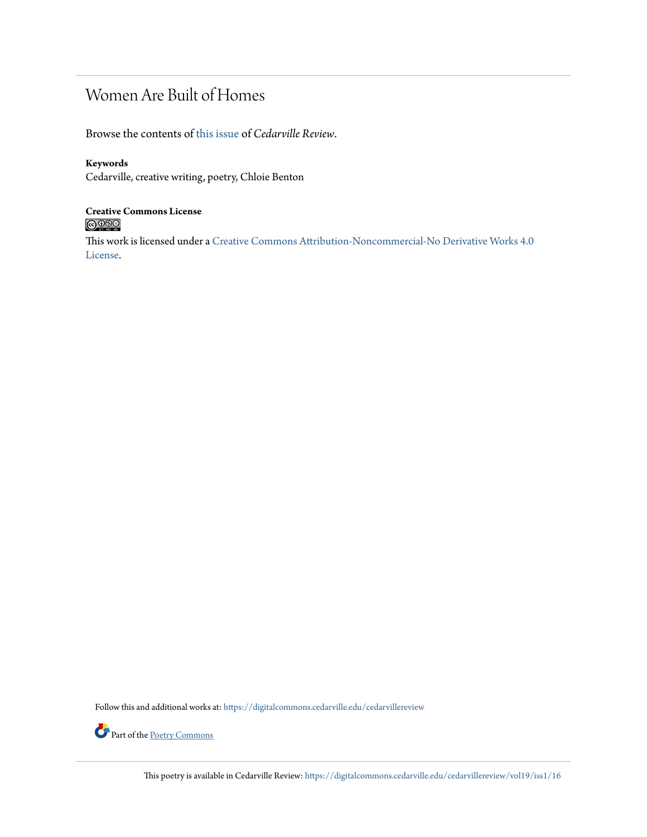### Women Are Built of Homes

Browse the contents of [this issue](https://digitalcommons.cedarville.edu/cedarvillereview/vol19/iss1) of *Cedarville Review*.

#### **Keywords**

Cedarville, creative writing, poetry, Chloie Benton

## **Creative Commons License**

This work is licensed under a [Creative Commons Attribution-Noncommercial-No Derivative Works 4.0](http://creativecommons.org/licenses/by-nc-nd/4.0/) [License.](http://creativecommons.org/licenses/by-nc-nd/4.0/)

Follow this and additional works at: [https://digitalcommons.cedarville.edu/cedarvillereview](https://digitalcommons.cedarville.edu/cedarvillereview?utm_source=digitalcommons.cedarville.edu%2Fcedarvillereview%2Fvol19%2Fiss1%2F16&utm_medium=PDF&utm_campaign=PDFCoverPages)



Part of the [Poetry Commons](http://network.bepress.com/hgg/discipline/1153?utm_source=digitalcommons.cedarville.edu%2Fcedarvillereview%2Fvol19%2Fiss1%2F16&utm_medium=PDF&utm_campaign=PDFCoverPages)

This poetry is available in Cedarville Review: [https://digitalcommons.cedarville.edu/cedarvillereview/vol19/iss1/16](https://digitalcommons.cedarville.edu/cedarvillereview/vol19/iss1/16?utm_source=digitalcommons.cedarville.edu%2Fcedarvillereview%2Fvol19%2Fiss1%2F16&utm_medium=PDF&utm_campaign=PDFCoverPages)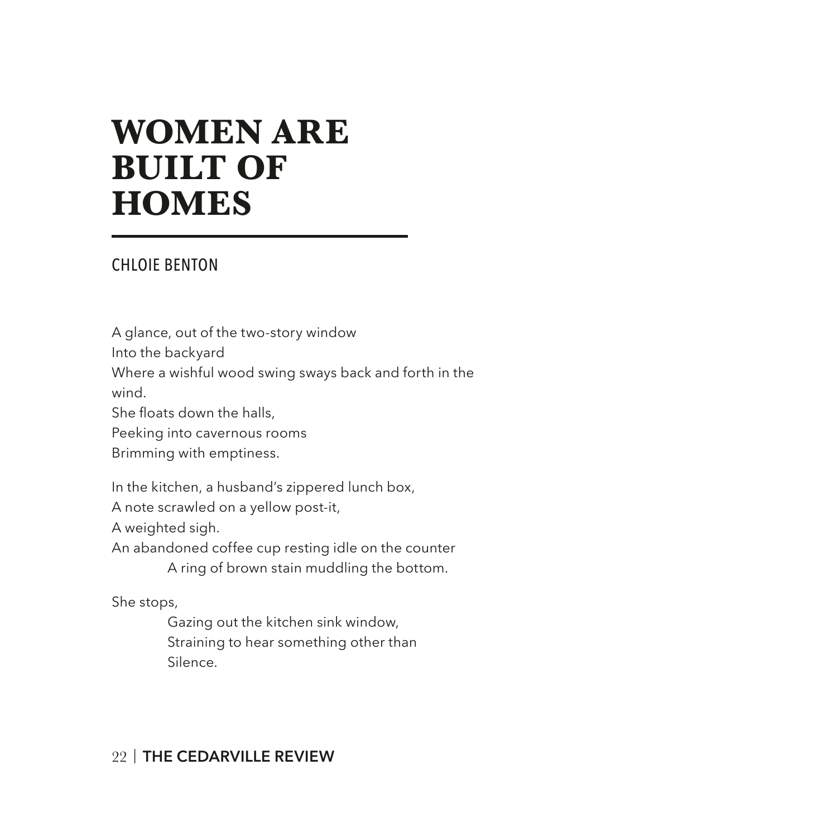## **WOMEN ARE BUILT OF HOMES**

#### CHLOIE BENTON

A glance, out of the two-story window

Into the backyard

Where a wishful wood swing sways back and forth in the

wind.

She floats down the halls,

Peeking into cavernous rooms

Brimming with emptiness.

In the kitchen, a husband's zippered lunch box,

A note scrawled on a yellow post-it,

A weighted sigh.

An abandoned coffee cup resting idle on the counter

A ring of brown stain muddling the bottom.

She stops,

Gazing out the kitchen sink window, Straining to hear something other than Silence.

### 22 | **THE CEDARVILLE REVIEW**